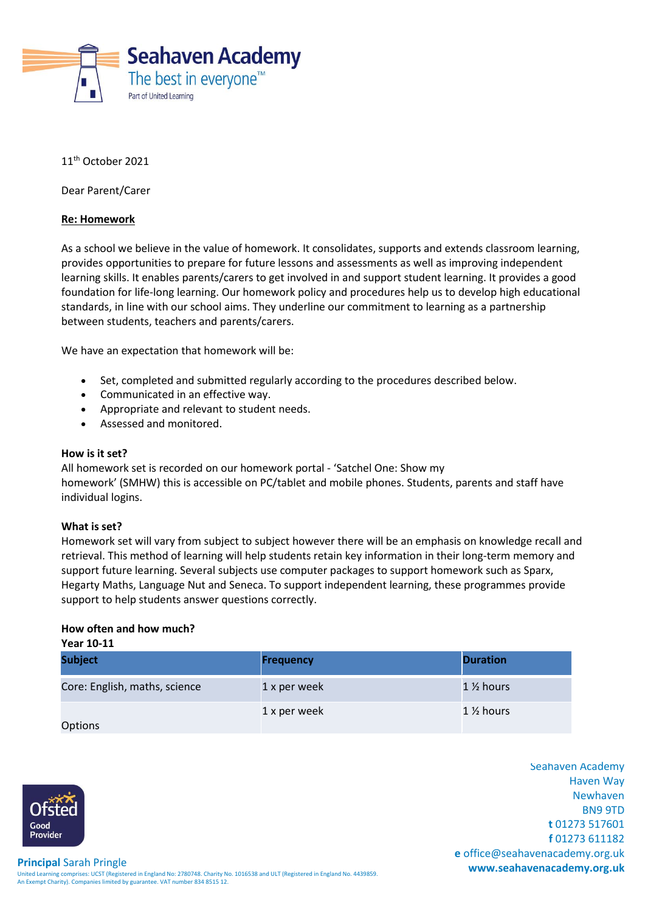

11th October 2021

Dear Parent/Carer

## **Re: Homework**

As a school we believe in the value of homework. It consolidates, supports and extends classroom learning, provides opportunities to prepare for future lessons and assessments as well as improving independent learning skills. It enables parents/carers to get involved in and support student learning. It provides a good foundation for life-long learning. Our homework policy and procedures help us to develop high educational standards, in line with our school aims. They underline our commitment to learning as a partnership between students, teachers and parents/carers.

We have an expectation that homework will be:

- Set, completed and submitted regularly according to the procedures described below.
- Communicated in an effective way.
- Appropriate and relevant to student needs.
- Assessed and monitored.

#### **How is it set?**

All homework set is recorded on our homework portal - 'Satchel One: Show my homework' (SMHW) this is accessible on PC/tablet and mobile phones. Students, parents and staff have individual logins.

#### **What is set?**

Homework set will vary from subject to subject however there will be an emphasis on knowledge recall and retrieval. This method of learning will help students retain key information in their long-term memory and support future learning. Several subjects use computer packages to support homework such as Sparx, Hegarty Maths, Language Nut and Seneca. To support independent learning, these programmes provide support to help students answer questions correctly.

## **How often and how much?**

| Year 10-11                    |                  |                      |  |  |
|-------------------------------|------------------|----------------------|--|--|
| <b>Subject</b>                | <b>Frequency</b> | <b>Duration</b>      |  |  |
| Core: English, maths, science | 1 x per week     | $1\frac{1}{2}$ hours |  |  |
| Options                       | 1 x per week     | $1\%$ hours          |  |  |

Seahaven Academy Haven Way Newhaven BN9 9TD **t** 01273 517601 **f** 01273 611182 **e** office@seahavenacademy.org.uk

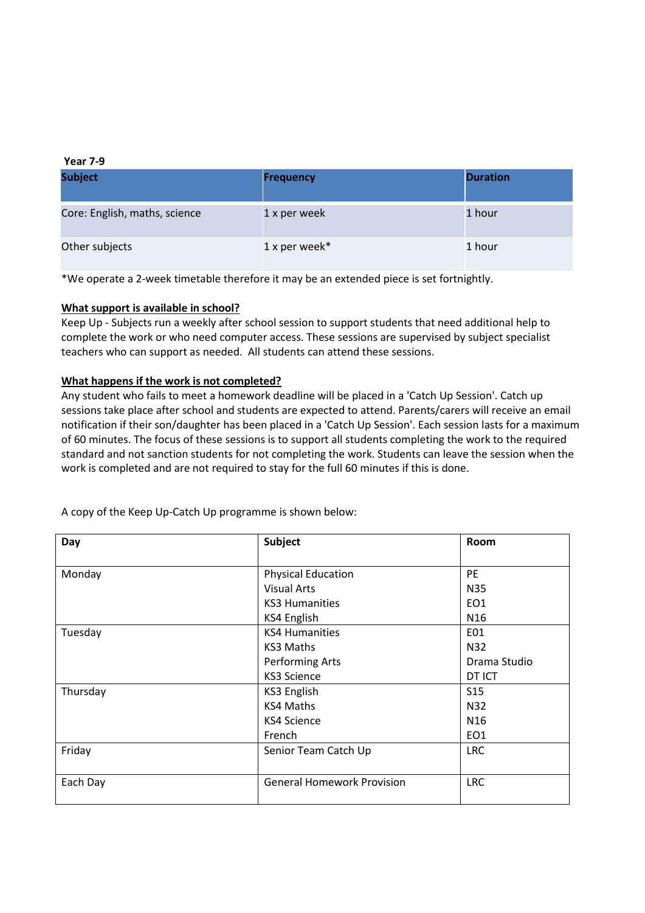#### **Year 7-9**

| <b>Subject</b>                | <b>Frequency</b> | <b>Duration</b> |
|-------------------------------|------------------|-----------------|
| Core: English, maths, science | 1 x per week     | 1 hour          |
| Other subjects                | 1 x per week*    | 1 hour          |

\*We operate a 2-week timetable therefore it may be an extended piece is set fortnightly.

# **What support is available in school?**

Keep Up - Subjects run a weekly after school session to support students that need additional help to complete the work or who need computer access. These sessions are supervised by subject specialist teachers who can support as needed. All students can attend these sessions.

# **What happens if the work is not completed?**

Any student who fails to meet a homework deadline will be placed in a 'Catch Up Session'. Catch up sessions take place after school and students are expected to attend. Parents/carers will receive an email notification if their son/daughter has been placed in a 'Catch Up Session'. Each session lasts for a maximum of 60 minutes. The focus of these sessions is to support all students completing the work to the required standard and not sanction students for not completing the work. Students can leave the session when the work is completed and are not required to stay for the full 60 minutes if this is done.

| Day      | Subject                           | Room            |
|----------|-----------------------------------|-----------------|
|          |                                   |                 |
| Monday   | <b>Physical Education</b>         | PE              |
|          | <b>Visual Arts</b>                | N35             |
|          | <b>KS3 Humanities</b>             | EO <sub>1</sub> |
|          | KS4 English                       | N <sub>16</sub> |
| Tuesday  | <b>KS4 Humanities</b>             | E01             |
|          | KS3 Maths                         | N32             |
|          | Performing Arts                   | Drama Studio    |
|          | <b>KS3 Science</b>                | DT ICT          |
| Thursday | <b>KS3 English</b>                | S <sub>15</sub> |
|          | KS4 Maths                         | N32             |
|          | <b>KS4 Science</b>                | N <sub>16</sub> |
|          | French                            | EO <sub>1</sub> |
| Friday   | Senior Team Catch Up              | <b>LRC</b>      |
|          |                                   |                 |
| Each Day | <b>General Homework Provision</b> | <b>LRC</b>      |
|          |                                   |                 |

A copy of the Keep Up-Catch Up programme is shown below: